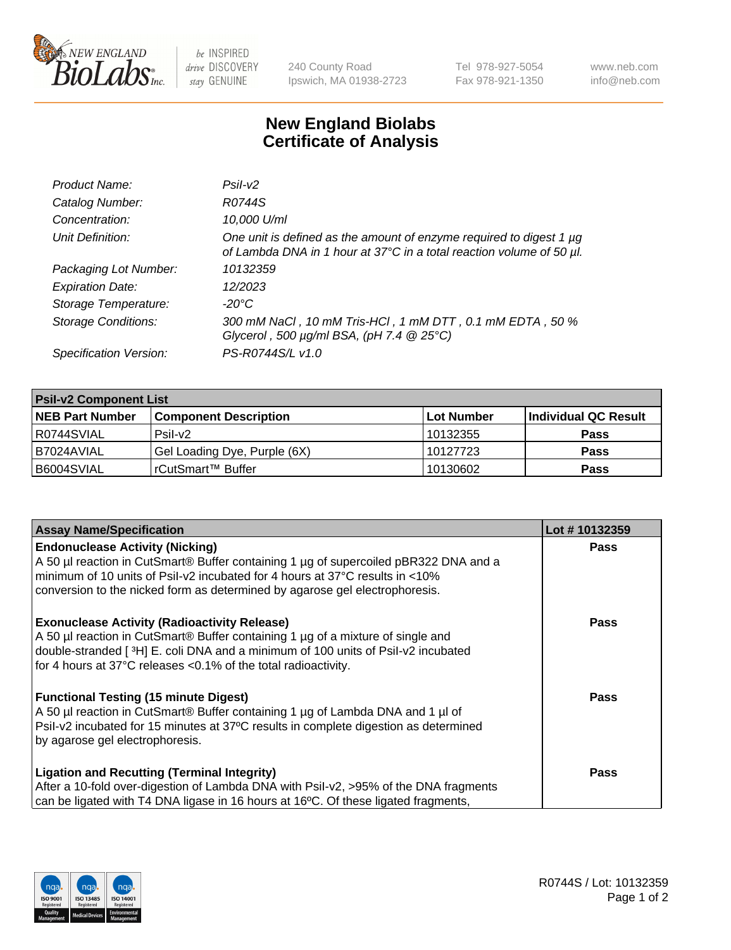

 $be$  INSPIRED drive DISCOVERY stay GENUINE

240 County Road Ipswich, MA 01938-2723 Tel 978-927-5054 Fax 978-921-1350 www.neb.com info@neb.com

## **New England Biolabs Certificate of Analysis**

| Product Name:              | Psi2                                                                                                                                        |
|----------------------------|---------------------------------------------------------------------------------------------------------------------------------------------|
| Catalog Number:            | R0744S                                                                                                                                      |
| Concentration:             | 10,000 U/ml                                                                                                                                 |
| Unit Definition:           | One unit is defined as the amount of enzyme required to digest 1 µg<br>of Lambda DNA in 1 hour at 37°C in a total reaction volume of 50 µl. |
| Packaging Lot Number:      | 10132359                                                                                                                                    |
| <b>Expiration Date:</b>    | 12/2023                                                                                                                                     |
| Storage Temperature:       | $-20^{\circ}$ C                                                                                                                             |
| <b>Storage Conditions:</b> | 300 mM NaCl, 10 mM Tris-HCl, 1 mM DTT, 0.1 mM EDTA, 50 %<br>Glycerol, 500 $\mu$ g/ml BSA, (pH 7.4 $@25°C$ )                                 |
| Specification Version:     | PS-R0744S/L v1.0                                                                                                                            |

| <b>Psil-v2 Component List</b> |                              |                   |                      |  |  |
|-------------------------------|------------------------------|-------------------|----------------------|--|--|
| <b>NEB Part Number</b>        | <b>Component Description</b> | <b>Lot Number</b> | Individual QC Result |  |  |
| I R0744SVIAL                  | Psil-v2                      | 10132355          | <b>Pass</b>          |  |  |
| B7024AVIAL                    | Gel Loading Dye, Purple (6X) | 10127723          | <b>Pass</b>          |  |  |
| B6004SVIAL                    | l rCutSmart™ Buffer          | 10130602          | <b>Pass</b>          |  |  |

| <b>Assay Name/Specification</b>                                                      | Lot #10132359 |
|--------------------------------------------------------------------------------------|---------------|
| <b>Endonuclease Activity (Nicking)</b>                                               | <b>Pass</b>   |
| A 50 µl reaction in CutSmart® Buffer containing 1 µg of supercoiled pBR322 DNA and a |               |
| minimum of 10 units of Psil-v2 incubated for 4 hours at 37°C results in <10%         |               |
| conversion to the nicked form as determined by agarose gel electrophoresis.          |               |
| <b>Exonuclease Activity (Radioactivity Release)</b>                                  | <b>Pass</b>   |
| A 50 µl reaction in CutSmart® Buffer containing 1 µg of a mixture of single and      |               |
| double-stranded [3H] E. coli DNA and a minimum of 100 units of Psil-v2 incubated     |               |
| for 4 hours at 37°C releases <0.1% of the total radioactivity.                       |               |
| <b>Functional Testing (15 minute Digest)</b>                                         | Pass          |
| A 50 µl reaction in CutSmart® Buffer containing 1 µg of Lambda DNA and 1 µl of       |               |
| Psil-v2 incubated for 15 minutes at 37°C results in complete digestion as determined |               |
| by agarose gel electrophoresis.                                                      |               |
| <b>Ligation and Recutting (Terminal Integrity)</b>                                   | <b>Pass</b>   |
| After a 10-fold over-digestion of Lambda DNA with Psil-v2, >95% of the DNA fragments |               |
| can be ligated with T4 DNA ligase in 16 hours at 16°C. Of these ligated fragments,   |               |